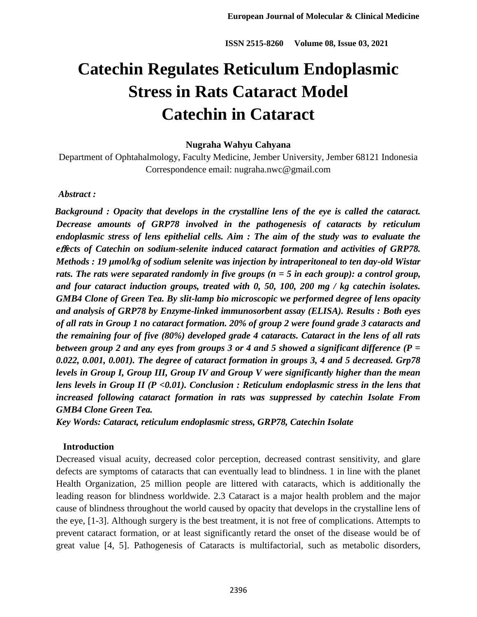# **Catechin Regulates Reticulum Endoplasmic Stress in Rats Cataract Model Catechin in Cataract**

# **Nugraha Wahyu Cahyana**

Department of Ophtahalmology, Faculty Medicine, Jember University, Jember 68121 Indonesia Correspondence email: nugraha.nwc@gmail.com

### *Abstract :*

*Background : Opacity that develops in the crystalline lens of the eye is called the cataract. Decrease amounts of GRP78 involved in the pathogenesis of cataracts by reticulum endoplasmic stress of lens epithelial cells. Aim : The aim of the study was to evaluate the e*ff*ects of Catechin on sodium-selenite induced cataract formation and activities of GRP78. Methods : 19 µmol/kg of sodium selenite was injection by intraperitoneal to ten day-old Wistar rats. The rats were separated randomly in five groups (n = 5 in each group): a control group, and four cataract induction groups, treated with 0, 50, 100, 200 mg / kg catechin isolates. GMB4 Clone of Green Tea. By slit-lamp bio microscopic we performed degree of lens opacity and analysis of GRP78 by Enzyme-linked immunosorbent assay (ELISA). Results : Both eyes of all rats in Group 1 no cataract formation. 20% of group 2 were found grade 3 cataracts and the remaining four of five (80%) developed grade 4 cataracts. Cataract in the lens of all rats between group 2 and any eyes from groups 3 or 4 and 5 showed a significant difference (P = 0.022, 0.001, 0.001). The degree of cataract formation in groups 3, 4 and 5 decreased. Grp78 levels in Group I, Group III, Group IV and Group V were significantly higher than the mean lens levels in Group II (P <0.01). Conclusion : Reticulum endoplasmic stress in the lens that increased following cataract formation in rats was suppressed by catechin Isolate From GMB4 Clone Green Tea.*

*Key Words: Cataract, reticulum endoplasmic stress, GRP78, Catechin Isolate*

# **Introduction**

Decreased visual acuity, decreased color perception, decreased contrast sensitivity, and glare defects are symptoms of cataracts that can eventually lead to blindness. 1 in line with the planet Health Organization, 25 million people are littered with cataracts, which is additionally the leading reason for blindness worldwide. 2.3 Cataract is a major health problem and the major cause of blindness throughout the world caused by opacity that develops in the crystalline lens of the eye, [1-3]. Although surgery is the best treatment, it is not free of complications. Attempts to prevent cataract formation, or at least significantly retard the onset of the disease would be of great value [4, 5]. Pathogenesis of Cataracts is multifactorial, such as metabolic disorders,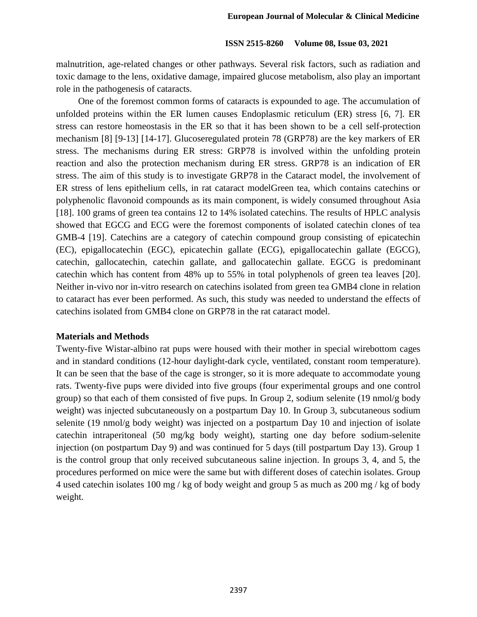malnutrition, age-related changes or other pathways. Several risk factors, such as radiation and toxic damage to the lens, oxidative damage, impaired glucose metabolism, also play an important role in the pathogenesis of cataracts.

One of the foremost common forms of cataracts is expounded to age. The accumulation of unfolded proteins within the ER lumen causes Endoplasmic reticulum (ER) stress [6, 7]. ER stress can restore homeostasis in the ER so that it has been shown to be a cell self-protection mechanism [8] [9-13] [14-17]. Glucoseregulated protein 78 (GRP78) are the key markers of ER stress. The mechanisms during ER stress: GRP78 is involved within the unfolding protein reaction and also the protection mechanism during ER stress. GRP78 is an indication of ER stress. The aim of this study is to investigate GRP78 in the Cataract model, the involvement of ER stress of lens epithelium cells, in rat cataract modelGreen tea, which contains catechins or polyphenolic flavonoid compounds as its main component, is widely consumed throughout Asia [18]. 100 grams of green tea contains 12 to 14% isolated catechins. The results of HPLC analysis showed that EGCG and ECG were the foremost components of isolated catechin clones of tea GMB-4 [19]. Catechins are a category of catechin compound group consisting of epicatechin (EC), epigallocatechin (EGC), epicatechin gallate (ECG), epigallocatechin gallate (EGCG), catechin, gallocatechin, catechin gallate, and gallocatechin gallate. EGCG is predominant catechin which has content from 48% up to 55% in total polyphenols of green tea leaves [20]. Neither in-vivo nor in-vitro research on catechins isolated from green tea GMB4 clone in relation to cataract has ever been performed. As such, this study was needed to understand the effects of catechins isolated from GMB4 clone on GRP78 in the rat cataract model.

# **Materials and Methods**

Twenty-five Wistar-albino rat pups were housed with their mother in special wirebottom cages and in standard conditions (12-hour daylight-dark cycle, ventilated, constant room temperature). It can be seen that the base of the cage is stronger, so it is more adequate to accommodate young rats. Twenty-five pups were divided into five groups (four experimental groups and one control group) so that each of them consisted of five pups. In Group 2, sodium selenite (19 nmol/g body weight) was injected subcutaneously on a postpartum Day 10. In Group 3, subcutaneous sodium selenite (19 nmol/g body weight) was injected on a postpartum Day 10 and injection of isolate catechin intraperitoneal (50 mg/kg body weight), starting one day before sodium-selenite injection (on postpartum Day 9) and was continued for 5 days (till postpartum Day 13). Group 1 is the control group that only received subcutaneous saline injection. In groups 3, 4, and 5, the procedures performed on mice were the same but with different doses of catechin isolates. Group 4 used catechin isolates 100 mg / kg of body weight and group 5 as much as 200 mg / kg of body weight.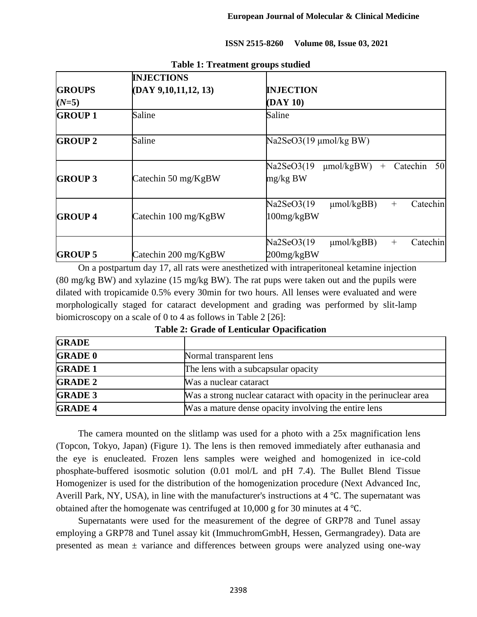|                | <b>INJECTIONS</b>              |                                                                       |
|----------------|--------------------------------|-----------------------------------------------------------------------|
| <b>GROUPS</b>  | (DAY 9, 10, 11, 12, 13)        | <b>INJECTION</b>                                                      |
| $(N=5)$        |                                | (DAY 10)                                                              |
| <b>GROUP1</b>  | Saline                         | Saline                                                                |
| <b>GROUP 2</b> | Saline                         | $Na2SeO3(19 \mu mol/kg BW)$                                           |
| <b>GROUP 3</b> | Catechin 50 mg/KgBW            | Na2SeO3(19<br>$\mu$ mol/kgBW)<br>Catechin<br>50<br>$^{+}$<br>mg/kg BW |
| <b>GROUP4</b>  | Catechin $100 \text{ mg/KgBW}$ | Na2SeO3(19<br>Catechin<br>$\mu$ mol/kgBB)<br>$+$<br>100mg/kgBW        |
| <b>GROUP 5</b> | Catechin 200 mg/KgBW           | Catechin<br>Na2SeO3(19<br>$\mu$ mol/kgBB)<br>$^{+}$<br>200mg/kgBW     |

#### **Table 1: Treatment groups studied**

On a postpartum day 17, all rats were anesthetized with intraperitoneal ketamine injection (80 mg/kg BW) and xylazine (15 mg/kg BW). The rat pups were taken out and the pupils were dilated with tropicamide 0.5% every 30min for two hours. All lenses were evaluated and were morphologically staged for cataract development and grading was performed by slit-lamp biomicroscopy on a scale of 0 to 4 as follows in Table 2 [26]:

| <b>GRADE</b>   |                                                                    |
|----------------|--------------------------------------------------------------------|
| <b>GRADE 0</b> | Normal transparent lens                                            |
| <b>GRADE 1</b> | The lens with a subcapsular opacity                                |
| <b>GRADE 2</b> | Was a nuclear cataract                                             |
| <b>GRADE 3</b> | Was a strong nuclear cataract with opacity in the perinuclear area |
| <b>GRADE 4</b> | Was a mature dense opacity involving the entire lens               |

**Table 2: Grade of Lenticular Opacification**

The camera mounted on the slitlamp was used for a photo with a 25x magnification lens (Topcon, Tokyo, Japan) (Figure 1). The lens is then removed immediately after euthanasia and the eye is enucleated. Frozen lens samples were weighed and homogenized in ice-cold phosphate-buffered isosmotic solution (0.01 mol/L and pH 7.4). The Bullet Blend Tissue Homogenizer is used for the distribution of the homogenization procedure (Next Advanced Inc, Averill Park, NY, USA), in line with the manufacturer's instructions at 4 ℃. The supernatant was obtained after the homogenate was centrifuged at 10,000 g for 30 minutes at 4 ℃.

Supernatants were used for the measurement of the degree of GRP78 and Tunel assay employing a GRP78 and Tunel assay kit (ImmuchromGmbH, Hessen, Germangradey). Data are presented as mean  $\pm$  variance and differences between groups were analyzed using one-way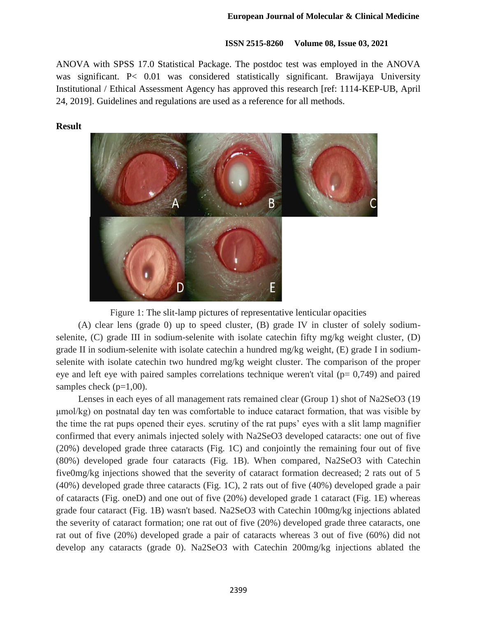ANOVA with SPSS 17.0 Statistical Package. The postdoc test was employed in the ANOVA was significant. P< 0.01 was considered statistically significant. Brawijaya University Institutional / Ethical Assessment Agency has approved this research [ref: 1114-KEP-UB, April 24, 2019]. Guidelines and regulations are used as a reference for all methods.

# **Result**



Figure 1: The slit-lamp pictures of representative lenticular opacities

(A) clear lens (grade 0) up to speed cluster, (B) grade IV in cluster of solely sodiumselenite, (C) grade III in sodium-selenite with isolate catechin fifty mg/kg weight cluster, (D) grade II in sodium-selenite with isolate catechin a hundred mg/kg weight,  $(E)$  grade I in sodiumselenite with isolate catechin two hundred mg/kg weight cluster. The comparison of the proper eye and left eye with paired samples correlations technique weren't vital ( $p= 0.749$ ) and paired samples check  $(p=1,00)$ .

Lenses in each eyes of all management rats remained clear (Group 1) shot of Na2SeO3 (19 μmol/kg) on postnatal day ten was comfortable to induce cataract formation, that was visible by the time the rat pups opened their eyes. scrutiny of the rat pups' eyes with a slit lamp magnifier confirmed that every animals injected solely with Na2SeO3 developed cataracts: one out of five (20%) developed grade three cataracts (Fig. 1C) and conjointly the remaining four out of five (80%) developed grade four cataracts (Fig. 1B). When compared, Na2SeO3 with Catechin five0mg/kg injections showed that the severity of cataract formation decreased; 2 rats out of 5 (40%) developed grade three cataracts (Fig. 1C), 2 rats out of five (40%) developed grade a pair of cataracts (Fig. oneD) and one out of five (20%) developed grade 1 cataract (Fig. 1E) whereas grade four cataract (Fig. 1B) wasn't based. Na2SeO3 with Catechin 100mg/kg injections ablated the severity of cataract formation; one rat out of five (20%) developed grade three cataracts, one rat out of five (20%) developed grade a pair of cataracts whereas 3 out of five (60%) did not develop any cataracts (grade 0). Na2SeO3 with Catechin 200mg/kg injections ablated the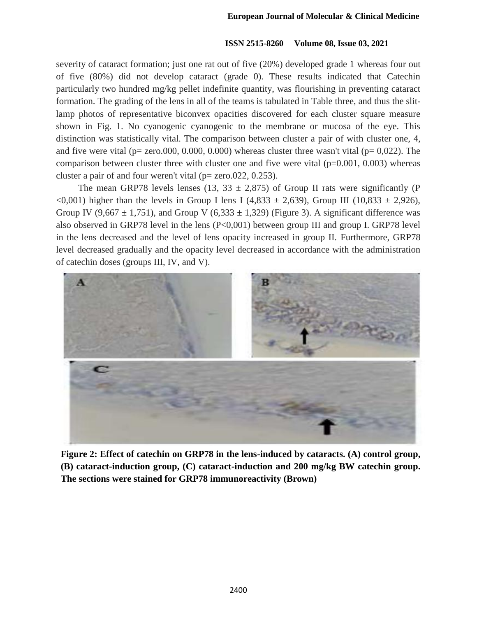severity of cataract formation; just one rat out of five (20%) developed grade 1 whereas four out of five (80%) did not develop cataract (grade 0). These results indicated that Catechin particularly two hundred mg/kg pellet indefinite quantity, was flourishing in preventing cataract formation. The grading of the lens in all of the teams is tabulated in Table three, and thus the slitlamp photos of representative biconvex opacities discovered for each cluster square measure shown in Fig. 1. No cyanogenic cyanogenic to the membrane or mucosa of the eye. This distinction was statistically vital. The comparison between cluster a pair of with cluster one, 4, and five were vital ( $p=$  zero.000, 0.000, 0.000) whereas cluster three wasn't vital ( $p=$  0,022). The comparison between cluster three with cluster one and five were vital  $(p=0.001, 0.003)$  whereas cluster a pair of and four weren't vital ( $p=$  zero.022, 0.253).

The mean GRP78 levels lenses (13,  $33 \pm 2,875$ ) of Group II rats were significantly (P <0,001) higher than the levels in Group I lens I (4,833  $\pm$  2,639), Group III (10,833  $\pm$  2,926), Group IV (9,667  $\pm$  1,751), and Group V (6,333  $\pm$  1,329) (Figure 3). A significant difference was also observed in GRP78 level in the lens (P<0,001) between group III and group I. GRP78 level in the lens decreased and the level of lens opacity increased in group II. Furthermore, GRP78 level decreased gradually and the opacity level decreased in accordance with the administration of catechin doses (groups III, IV, and V).



**Figure 2: Effect of catechin on GRP78 in the lens-induced by cataracts. (A) control group, (B) cataract-induction group, (C) cataract-induction and 200 mg/kg BW catechin group. The sections were stained for GRP78 immunoreactivity (Brown)**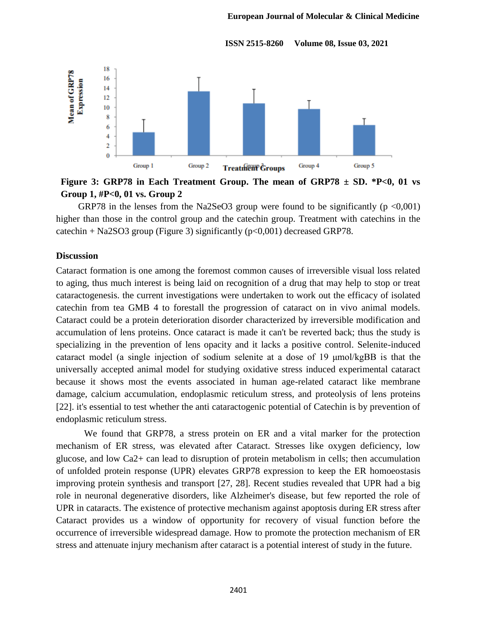

**Figure 3: GRP78 in Each Treatment Group. The mean of GRP78 ± SD. \*P<0, 01 vs Group 1, #P<0, 01 vs. Group 2**

GRP78 in the lenses from the Na2SeO3 group were found to be significantly  $(p \le 0.001)$ higher than those in the control group and the catechin group. Treatment with catechins in the catechin + Na2SO3 group (Figure 3) significantly  $(p<0,001)$  decreased GRP78.

#### **Discussion**

Cataract formation is one among the foremost common causes of irreversible visual loss related to aging, thus much interest is being laid on recognition of a drug that may help to stop or treat cataractogenesis. the current investigations were undertaken to work out the efficacy of isolated catechin from tea GMB 4 to forestall the progression of cataract on in vivo animal models. Cataract could be a protein deterioration disorder characterized by irreversible modification and accumulation of lens proteins. Once cataract is made it can't be reverted back; thus the study is specializing in the prevention of lens opacity and it lacks a positive control. Selenite-induced cataract model (a single injection of sodium selenite at a dose of 19 μmol/kgBB is that the universally accepted animal model for studying oxidative stress induced experimental cataract because it shows most the events associated in human age-related cataract like membrane damage, calcium accumulation, endoplasmic reticulum stress, and proteolysis of lens proteins [22]. it's essential to test whether the anti cataractogenic potential of Catechin is by prevention of endoplasmic reticulum stress.

We found that GRP78, a stress protein on ER and a vital marker for the protection mechanism of ER stress, was elevated after Cataract. Stresses like oxygen deficiency, low glucose, and low Ca2+ can lead to disruption of protein metabolism in cells; then accumulation of unfolded protein response (UPR) elevates GRP78 expression to keep the ER homoeostasis improving protein synthesis and transport [27, 28]. Recent studies revealed that UPR had a big role in neuronal degenerative disorders, like Alzheimer's disease, but few reported the role of UPR in cataracts. The existence of protective mechanism against apoptosis during ER stress after Cataract provides us a window of opportunity for recovery of visual function before the occurrence of irreversible widespread damage. How to promote the protection mechanism of ER stress and attenuate injury mechanism after cataract is a potential interest of study in the future.